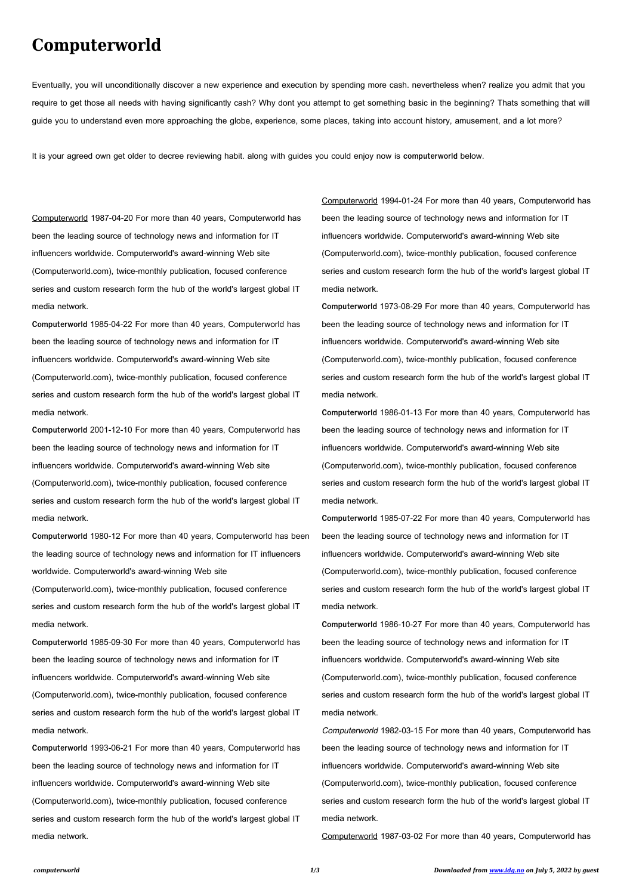## **Computerworld**

Eventually, you will unconditionally discover a new experience and execution by spending more cash. nevertheless when? realize you admit that you require to get those all needs with having significantly cash? Why dont you attempt to get something basic in the beginning? Thats something that will guide you to understand even more approaching the globe, experience, some places, taking into account history, amusement, and a lot more?

It is your agreed own get older to decree reviewing habit. along with guides you could enjoy now is **computerworld** below.

Computerworld 1987-04-20 For more than 40 years, Computerworld has been the leading source of technology news and information for IT influencers worldwide. Computerworld's award-winning Web site (Computerworld.com), twice-monthly publication, focused conference series and custom research form the hub of the world's largest global IT media network.

**Computerworld** 1985-04-22 For more than 40 years, Computerworld has been the leading source of technology news and information for IT influencers worldwide. Computerworld's award-winning Web site (Computerworld.com), twice-monthly publication, focused conference series and custom research form the hub of the world's largest global IT media network.

**Computerworld** 2001-12-10 For more than 40 years, Computerworld has been the leading source of technology news and information for IT influencers worldwide. Computerworld's award-winning Web site (Computerworld.com), twice-monthly publication, focused conference series and custom research form the hub of the world's largest global IT media network.

**Computerworld** 1980-12 For more than 40 years, Computerworld has been the leading source of technology news and information for IT influencers worldwide. Computerworld's award-winning Web site

(Computerworld.com), twice-monthly publication, focused conference series and custom research form the hub of the world's largest global IT media network.

**Computerworld** 1985-09-30 For more than 40 years, Computerworld has been the leading source of technology news and information for IT

influencers worldwide. Computerworld's award-winning Web site

(Computerworld.com), twice-monthly publication, focused conference series and custom research form the hub of the world's largest global IT media network.

**Computerworld** 1993-06-21 For more than 40 years, Computerworld has been the leading source of technology news and information for IT influencers worldwide. Computerworld's award-winning Web site (Computerworld.com), twice-monthly publication, focused conference series and custom research form the hub of the world's largest global IT media network.

Computerworld 1994-01-24 For more than 40 years, Computerworld has been the leading source of technology news and information for IT influencers worldwide. Computerworld's award-winning Web site (Computerworld.com), twice-monthly publication, focused conference series and custom research form the hub of the world's largest global IT media network.

**Computerworld** 1973-08-29 For more than 40 years, Computerworld has been the leading source of technology news and information for IT influencers worldwide. Computerworld's award-winning Web site (Computerworld.com), twice-monthly publication, focused conference series and custom research form the hub of the world's largest global IT media network.

**Computerworld** 1986-01-13 For more than 40 years, Computerworld has been the leading source of technology news and information for IT influencers worldwide. Computerworld's award-winning Web site (Computerworld.com), twice-monthly publication, focused conference series and custom research form the hub of the world's largest global IT media network.

**Computerworld** 1985-07-22 For more than 40 years, Computerworld has been the leading source of technology news and information for IT influencers worldwide. Computerworld's award-winning Web site (Computerworld.com), twice-monthly publication, focused conference series and custom research form the hub of the world's largest global IT media network.

**Computerworld** 1986-10-27 For more than 40 years, Computerworld has been the leading source of technology news and information for IT influencers worldwide. Computerworld's award-winning Web site (Computerworld.com), twice-monthly publication, focused conference series and custom research form the hub of the world's largest global IT media network.

Computerworld 1982-03-15 For more than 40 years, Computerworld has been the leading source of technology news and information for IT influencers worldwide. Computerworld's award-winning Web site (Computerworld.com), twice-monthly publication, focused conference series and custom research form the hub of the world's largest global IT media network.

Computerworld 1987-03-02 For more than 40 years, Computerworld has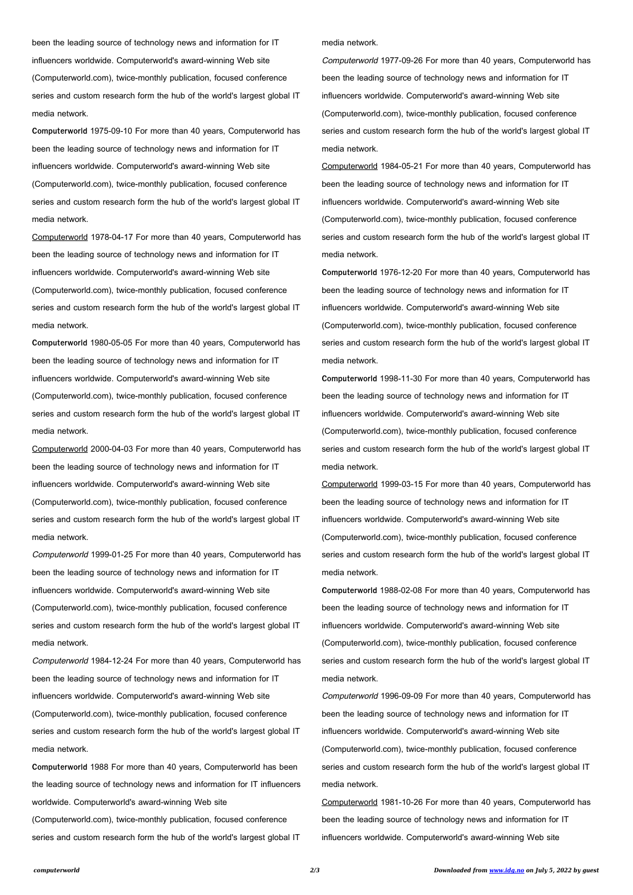been the leading source of technology news and information for IT influencers worldwide. Computerworld's award-winning Web site (Computerworld.com), twice-monthly publication, focused conference series and custom research form the hub of the world's largest global IT media network.

**Computerworld** 1975-09-10 For more than 40 years, Computerworld has been the leading source of technology news and information for IT influencers worldwide. Computerworld's award-winning Web site (Computerworld.com), twice-monthly publication, focused conference series and custom research form the hub of the world's largest global IT media network.

Computerworld 1978-04-17 For more than 40 years, Computerworld has been the leading source of technology news and information for IT influencers worldwide. Computerworld's award-winning Web site (Computerworld.com), twice-monthly publication, focused conference series and custom research form the hub of the world's largest global IT media network.

**Computerworld** 1980-05-05 For more than 40 years, Computerworld has been the leading source of technology news and information for IT influencers worldwide. Computerworld's award-winning Web site (Computerworld.com), twice-monthly publication, focused conference series and custom research form the hub of the world's largest global IT media network.

Computerworld 2000-04-03 For more than 40 years, Computerworld has been the leading source of technology news and information for IT influencers worldwide. Computerworld's award-winning Web site (Computerworld.com), twice-monthly publication, focused conference series and custom research form the hub of the world's largest global IT media network.

Computerworld 1999-01-25 For more than 40 years, Computerworld has been the leading source of technology news and information for IT influencers worldwide. Computerworld's award-winning Web site (Computerworld.com), twice-monthly publication, focused conference series and custom research form the hub of the world's largest global IT media network.

Computerworld 1984-12-24 For more than 40 years, Computerworld has been the leading source of technology news and information for IT

influencers worldwide. Computerworld's award-winning Web site

(Computerworld.com), twice-monthly publication, focused conference series and custom research form the hub of the world's largest global IT media network.

**Computerworld** 1988 For more than 40 years, Computerworld has been the leading source of technology news and information for IT influencers

worldwide. Computerworld's award-winning Web site

(Computerworld.com), twice-monthly publication, focused conference

series and custom research form the hub of the world's largest global IT

media network.

Computerworld 1977-09-26 For more than 40 years, Computerworld has been the leading source of technology news and information for IT influencers worldwide. Computerworld's award-winning Web site (Computerworld.com), twice-monthly publication, focused conference series and custom research form the hub of the world's largest global IT media network.

Computerworld 1984-05-21 For more than 40 years, Computerworld has been the leading source of technology news and information for IT influencers worldwide. Computerworld's award-winning Web site (Computerworld.com), twice-monthly publication, focused conference series and custom research form the hub of the world's largest global IT media network.

**Computerworld** 1976-12-20 For more than 40 years, Computerworld has been the leading source of technology news and information for IT influencers worldwide. Computerworld's award-winning Web site (Computerworld.com), twice-monthly publication, focused conference series and custom research form the hub of the world's largest global IT media network.

**Computerworld** 1998-11-30 For more than 40 years, Computerworld has been the leading source of technology news and information for IT influencers worldwide. Computerworld's award-winning Web site (Computerworld.com), twice-monthly publication, focused conference series and custom research form the hub of the world's largest global IT media network.

Computerworld 1999-03-15 For more than 40 years, Computerworld has been the leading source of technology news and information for IT influencers worldwide. Computerworld's award-winning Web site (Computerworld.com), twice-monthly publication, focused conference series and custom research form the hub of the world's largest global IT media network.

**Computerworld** 1988-02-08 For more than 40 years, Computerworld has been the leading source of technology news and information for IT influencers worldwide. Computerworld's award-winning Web site (Computerworld.com), twice-monthly publication, focused conference series and custom research form the hub of the world's largest global IT

media network.

Computerworld 1996-09-09 For more than 40 years, Computerworld has been the leading source of technology news and information for IT influencers worldwide. Computerworld's award-winning Web site (Computerworld.com), twice-monthly publication, focused conference series and custom research form the hub of the world's largest global IT media network.

Computerworld 1981-10-26 For more than 40 years, Computerworld has

been the leading source of technology news and information for IT

influencers worldwide. Computerworld's award-winning Web site